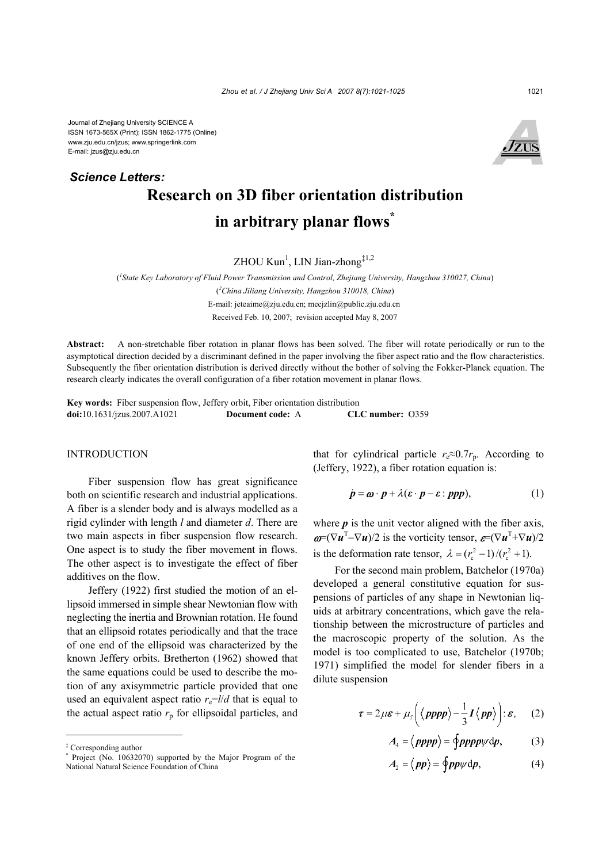Journal of Zhejiang University SCIENCE A ISSN 1673-565X (Print); ISSN 1862-1775 (Online) www.zju.edu.cn/jzus; www.springerlink.com E-mail: jzus@zju.edu.cn

# **Research on 3D fiber orientation distribution in arbitrary planar flows\*** *Science Letters:*

 $ZHOU$  Kun<sup>1</sup>, LIN Jian-zhong<sup>‡1,2</sup>

( *1 State Key Laboratory of Fluid Power Transmission and Control, Zhejiang University, Hangzhou 310027, China*) ( *2 China Jiliang University, Hangzhou 310018, China*) E-mail: jeteaime@zju.edu.cn; mecjzlin@public.zju.edu.cn Received Feb. 10, 2007; revision accepted May 8, 2007

**Abstract:** A non-stretchable fiber rotation in planar flows has been solved. The fiber will rotate periodically or run to the asymptotical direction decided by a discriminant defined in the paper involving the fiber aspect ratio and the flow characteristics. Subsequently the fiber orientation distribution is derived directly without the bother of solving the Fokker-Planck equation. The research clearly indicates the overall configuration of a fiber rotation movement in planar flows.

**Key words:** Fiber suspension flow, Jeffery orbit, Fiber orientation distribution **doi:**10.1631/jzus.2007.A1021 **Document code:** A **CLC number:** O359

#### INTRODUCTION

Fiber suspension flow has great significance both on scientific research and industrial applications. A fiber is a slender body and is always modelled as a rigid cylinder with length *l* and diameter *d*. There are two main aspects in fiber suspension flow research. One aspect is to study the fiber movement in flows. The other aspect is to investigate the effect of fiber additives on the flow.

Jeffery (1922) first studied the motion of an ellipsoid immersed in simple shear Newtonian flow with neglecting the inertia and Brownian rotation. He found that an ellipsoid rotates periodically and that the trace of one end of the ellipsoid was characterized by the known Jeffery orbits. Bretherton (1962) showed that the same equations could be used to describe the motion of any axisymmetric particle provided that one used an equivalent aspect ratio  $r_e = l/d$  that is equal to the actual aspect ratio  $r_p$  for ellipsoidal particles, and that for cylindrical particle  $r_e \approx 0.7r_p$ . According to (Jeffery, 1922), a fiber rotation equation is:

$$
\dot{p} = \boldsymbol{\omega} \cdot \boldsymbol{p} + \lambda (\boldsymbol{\varepsilon} \cdot \boldsymbol{p} - \boldsymbol{\varepsilon} : \boldsymbol{ppp}), \tag{1}
$$

where  $p$  is the unit vector aligned with the fiber axis,  $\boldsymbol{\omega} = (\nabla \boldsymbol{u}^T - \nabla \boldsymbol{u})/2$  is the vorticity tensor,  $\boldsymbol{\varepsilon} = (\nabla \boldsymbol{u}^T + \nabla \boldsymbol{u})/2$ is the deformation rate tensor,  $\lambda = (r_c^2 - 1)/(r_c^2 + 1)$ .

For the second main problem, Batchelor (1970a) developed a general constitutive equation for suspensions of particles of any shape in Newtonian liquids at arbitrary concentrations, which gave the relationship between the microstructure of particles and the macroscopic property of the solution. As the model is too complicated to use, Batchelor (1970b; 1971) simplified the model for slender fibers in a dilute suspension

$$
\tau = 2\mu\varepsilon + \mu_{\text{f}}\left(\langle\text{pppp}\rangle - \frac{1}{3}I\langle\text{pp}\rangle\right): \varepsilon, \quad (2)
$$

$$
A_4 = \langle \, \text{pppp} \rangle = \langle \text{ppppp} \psi \, \text{dp}, \tag{3}
$$

$$
A_2 = \langle pp \rangle = \oint pp \psi \, \mathrm{d}p,\tag{4}
$$

<sup>‡</sup> Corresponding author

<sup>\*</sup> Project (No. 10632070) supported by the Major Program of the National Natural Science Foundation of China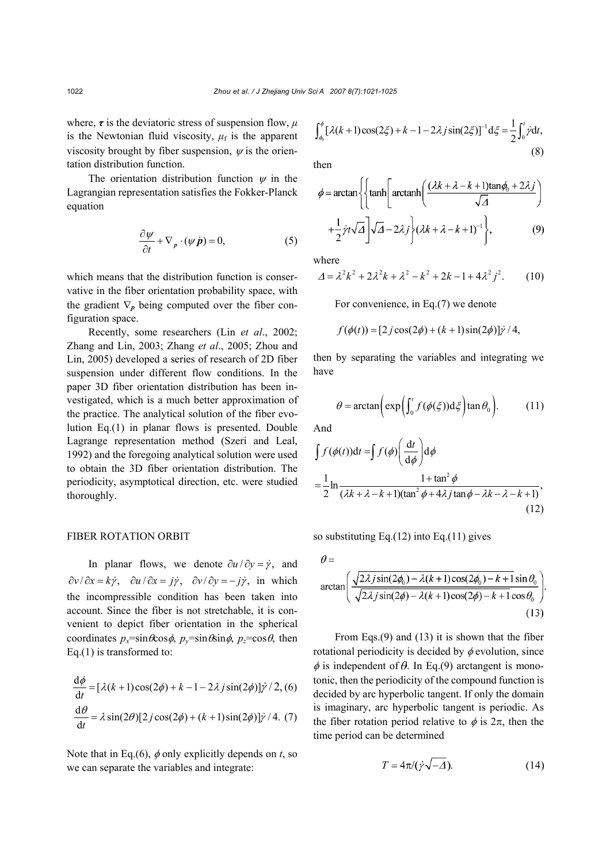where,  $\tau$  is the deviatoric stress of suspension flow,  $\mu$ is the Newtonian fluid viscosity,  $\mu_f$  is the apparent viscosity brought by fiber suspension,  $\psi$  is the orientation distribution function.

The orientation distribution function  $\psi$  in the Lagrangian representation satisfies the Fokker-Planck equation

$$
\frac{\partial \psi}{\partial t} + \nabla_p \cdot (\psi \dot{\mathbf{p}}) = 0, \tag{5}
$$

which means that the distribution function is conservative in the fiber orientation probability space, with the gradient  $\nabla_p$  being computed over the fiber configuration space.

Recently, some researchers (Lin *et al*., 2002; Zhang and Lin, 2003; Zhang *et al*., 2005; Zhou and Lin, 2005) developed a series of research of 2D fiber suspension under different flow conditions. In the paper 3D fiber orientation distribution has been investigated, which is a much better approximation of the practice. The analytical solution of the fiber evolution Eq.(1) in planar flows is presented. Double Lagrange representation method (Szeri and Leal, 1992) and the foregoing analytical solution were used to obtain the 3D fiber orientation distribution. The periodicity, asymptotical direction, etc. were studied thoroughly.

## FIBER ROTATION ORBIT

In planar flows, we denote  $\partial u / \partial y = \dot{y}$ , and  $\frac{\partial v}{\partial x} = k\dot{\gamma}$ ,  $\frac{\partial u}{\partial x} = j\dot{\gamma}$ ,  $\frac{\partial v}{\partial y} = -j\dot{\gamma}$ , in which the incompressible condition has been taken into account. Since the fiber is not stretchable, it is convenient to depict fiber orientation in the spherical coordinates  $p_x = \sin \theta \cos \phi$ ,  $p_y = \sin \theta \sin \phi$ ,  $p_z = \cos \theta$ , then Eq.(1) is transformed to:

$$
\frac{d\phi}{dt} = [\lambda(k+1)\cos(2\phi) + k - 1 - 2\lambda j\sin(2\phi)]\dot{\gamma}/2, (6)
$$
  

$$
\frac{d\theta}{dt} = \lambda\sin(2\theta)[2j\cos(2\phi) + (k+1)\sin(2\phi)]\dot{\gamma}/4. (7)
$$

Note that in Eq.(6),  $\phi$  only explicitly depends on *t*, so we can separate the variables and integrate:

$$
\int_{\phi_0}^{\phi} [\lambda(k+1)\cos(2\xi) + k - 1 - 2\lambda j \sin(2\xi)]^{-1} d\xi = \frac{1}{2} \int_0^t \dot{\gamma} dt,
$$
\n(8)

then

$$
\phi = \arctan\left\{\left\{\tanh\left[\arctanh\left(\frac{(\lambda k + \lambda - k + 1)\tan\phi_0 + 2\lambda j}{\sqrt{\Delta}}\right) + \frac{1}{2}\dot{\gamma}t\sqrt{\Delta}\right]\sqrt{\Delta} - 2\lambda j\right\}(\lambda k + \lambda - k + 1)^{-1}\right\},\tag{9}
$$

where

$$
\Delta = \lambda^2 k^2 + 2\lambda^2 k + \lambda^2 - k^2 + 2k - 1 + 4\lambda^2 j^2. \tag{10}
$$

For convenience, in Eq.(7) we denote

$$
f(\phi(t)) = [2j\cos(2\phi) + (k+1)\sin(2\phi)]\dot{\gamma}/4,
$$

then by separating the variables and integrating we have

$$
\theta = \arctan\left(\exp\left(\int_0^t f(\phi(\xi))d\xi\right) \tan \theta_0\right). \tag{11}
$$

And

$$
\int f(\phi(t))dt = \int f(\phi)\left(\frac{dt}{d\phi}\right)d\phi
$$
  
= 
$$
\frac{1}{2}\ln\frac{1+\tan^2\phi}{(\lambda k + \lambda - k + 1)(\tan^2\phi + 4\lambda j \tan\phi - \lambda k - \lambda - k + 1)},
$$
(12)

so substituting Eq. $(12)$  into Eq. $(11)$  gives

$$
\theta = \arctan\left(\frac{\sqrt{2\lambda j \sin(2\phi_0) - \lambda(k+1)\cos(2\phi_0) - k + 1}\sin\theta_0}{\sqrt{2\lambda j \sin(2\phi) - \lambda(k+1)\cos(2\phi) - k + 1}\cos\theta_0}\right)
$$
\n(13)

From Eqs.(9) and (13) it is shown that the fiber rotational periodicity is decided by  $\phi$  evolution, since  $\phi$  is independent of  $\theta$ . In Eq.(9) arctangent is monotonic, then the periodicity of the compound function is decided by arc hyperbolic tangent. If only the domain is imaginary, arc hyperbolic tangent is periodic. As the fiber rotation period relative to  $\phi$  is  $2\pi$ , then the time period can be determined

$$
T = 4\pi/(\dot{\gamma}\sqrt{-\Delta}).\tag{14}
$$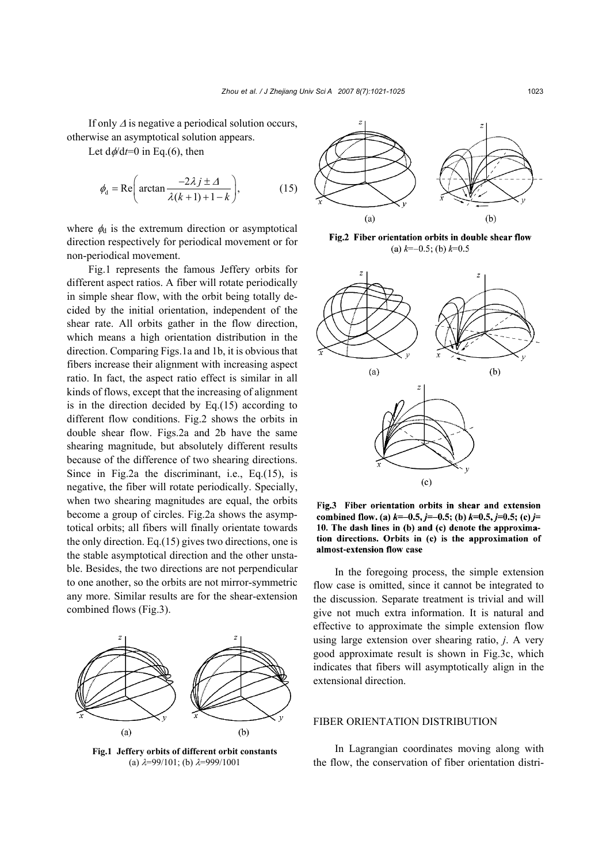If only ∆ is negative a periodical solution occurs, otherwise an asymptotical solution appears.

Let  $d\phi/dt=0$  in Eq.(6), then

$$
\phi_{\rm d} = \text{Re}\bigg(\arctan\frac{-2\lambda j \pm \Lambda}{\lambda(k+1)+1-k}\bigg),\tag{15}
$$

where  $\phi_d$  is the extremum direction or asymptotical direction respectively for periodical movement or for non-periodical movement.

Fig.1 represents the famous Jeffery orbits for different aspect ratios. A fiber will rotate periodically in simple shear flow, with the orbit being totally decided by the initial orientation, independent of the shear rate. All orbits gather in the flow direction, which means a high orientation distribution in the direction. Comparing Figs.1a and 1b, it is obvious that fibers increase their alignment with increasing aspect ratio. In fact, the aspect ratio effect is similar in all kinds of flows, except that the increasing of alignment is in the direction decided by Eq.(15) according to different flow conditions. Fig.2 shows the orbits in double shear flow. Figs.2a and 2b have the same shearing magnitude, but absolutely different results because of the difference of two shearing directions. Since in Fig.2a the discriminant, i.e., Eq.(15), is negative, the fiber will rotate periodically. Specially, when two shearing magnitudes are equal, the orbits become a group of circles. Fig.2a shows the asymptotical orbits; all fibers will finally orientate towards the only direction. Eq.(15) gives two directions, one is the stable asymptotical direction and the other unstable. Besides, the two directions are not perpendicular to one another, so the orbits are not mirror-symmetric any more. Similar results are for the shear-extension combined flows (Fig.3).



**Fig.1 Jeffery orbits of different orbit constants**  (a)  $\lambda = 99/101$ ; (b)  $\lambda = 999/1001$ 



Fig.2 Fiber orientation orbits in double shear flow (a)  $k=-0.5$ ; (b)  $k=0.5$ 



Fig.3 Fiber orientation orbits in shear and extension combined flow. (a)  $k=-0.5$ ,  $j=-0.5$ ; (b)  $k=0.5$ ,  $j=0.5$ ; (c)  $j=$ 10. The dash lines in (b) and (c) denote the approximation directions. Orbits in (c) is the approximation of almost-extension flow case

In the foregoing process, the simple extension flow case is omitted, since it cannot be integrated to the discussion. Separate treatment is trivial and will give not much extra information. It is natural and effective to approximate the simple extension flow using large extension over shearing ratio, *j*. A very good approximate result is shown in Fig.3c, which indicates that fibers will asymptotically align in the extensional direction.

### FIBER ORIENTATION DISTRIBUTION

In Lagrangian coordinates moving along with the flow, the conservation of fiber orientation distri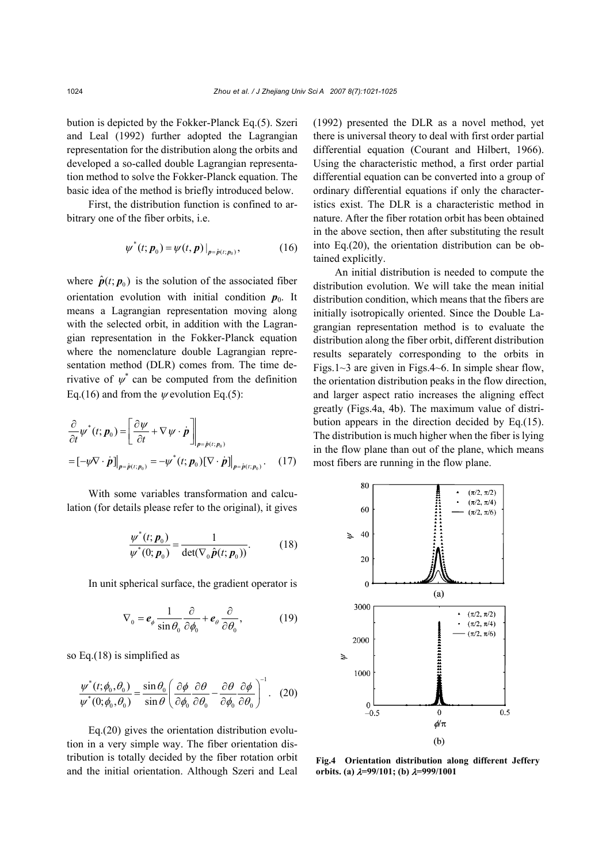bution is depicted by the Fokker-Planck Eq.(5). Szeri and Leal (1992) further adopted the Lagrangian representation for the distribution along the orbits and developed a so-called double Lagrangian representation method to solve the Fokker-Planck equation. The basic idea of the method is briefly introduced below.

First, the distribution function is confined to arbitrary one of the fiber orbits, i.e.

$$
\psi^*(t; \bm{p}_0) = \psi(t, \bm{p}) \big|_{\bm{p} = \hat{\bm{p}}(t; \bm{p}_0)}, \tag{16}
$$

where  $\hat{\boldsymbol{p}}(t; \boldsymbol{p}_0)$  is the solution of the associated fiber orientation evolution with initial condition  $p_0$ . It means a Lagrangian representation moving along with the selected orbit, in addition with the Lagrangian representation in the Fokker-Planck equation where the nomenclature double Lagrangian representation method (DLR) comes from. The time derivative of  $\psi^*$  can be computed from the definition Eq.(16) and from the  $\psi$  evolution Eq.(5):

$$
\frac{\partial}{\partial t} \psi^*(t; \mathbf{p}_0) = \left[ \frac{\partial \psi}{\partial t} + \nabla \psi \cdot \dot{\mathbf{p}} \right]_{\mathbf{p} = \hat{\mathbf{p}}(t; \mathbf{p}_0)} \n= [-\psi \nabla \cdot \dot{\mathbf{p}}]_{\mathbf{p} = \hat{\mathbf{p}}(t; \mathbf{p}_0)} = -\psi^*(t; \mathbf{p}_0) [\nabla \cdot \dot{\mathbf{p}}]_{\mathbf{p} = \hat{\mathbf{p}}(t; \mathbf{p}_0)}.
$$
\n(17)

With some variables transformation and calculation (for details please refer to the original), it gives

$$
\frac{\psi^*(t; \bm{p}_0)}{\psi^*(0; \bm{p}_0)} = \frac{1}{\det(\nabla_0 \hat{\bm{p}}(t; \bm{p}_0))}.
$$
 (18)

In unit spherical surface, the gradient operator is

$$
\nabla_0 = \boldsymbol{e}_{\phi} \frac{1}{\sin \theta_0} \frac{\partial}{\partial \phi_0} + \boldsymbol{e}_{\theta} \frac{\partial}{\partial \theta_0},
$$
(19)

so Eq.(18) is simplified as

$$
\frac{\psi^*(t;\phi_0,\theta_0)}{\psi^*(0;\phi_0,\theta_0)} = \frac{\sin\theta_0}{\sin\theta} \left(\frac{\partial\phi}{\partial\phi_0}\frac{\partial\theta}{\partial\theta_0} - \frac{\partial\theta}{\partial\phi_0}\frac{\partial\phi}{\partial\theta_0}\right)^{-1}.
$$
 (20)

Eq.(20) gives the orientation distribution evolution in a very simple way. The fiber orientation distribution is totally decided by the fiber rotation orbit and the initial orientation. Although Szeri and Leal (1992) presented the DLR as a novel method, yet there is universal theory to deal with first order partial differential equation (Courant and Hilbert, 1966). Using the characteristic method, a first order partial differential equation can be converted into a group of ordinary differential equations if only the characteristics exist. The DLR is a characteristic method in nature. After the fiber rotation orbit has been obtained in the above section, then after substituting the result into Eq.(20), the orientation distribution can be obtained explicitly.

An initial distribution is needed to compute the distribution evolution. We will take the mean initial distribution condition, which means that the fibers are initially isotropically oriented. Since the Double Lagrangian representation method is to evaluate the distribution along the fiber orbit, different distribution results separately corresponding to the orbits in Figs.1 $\sim$ 3 are given in Figs.4 $\sim$ 6. In simple shear flow, the orientation distribution peaks in the flow direction, and larger aspect ratio increases the aligning effect greatly (Figs.4a, 4b). The maximum value of distribution appears in the direction decided by Eq.(15). The distribution is much higher when the fiber is lying in the flow plane than out of the plane, which means most fibers are running in the flow plane.



**Fig.4 Orientation distribution along different Jeffery orbits. (a)** λ**=99/101; (b)** λ**=999/1001**